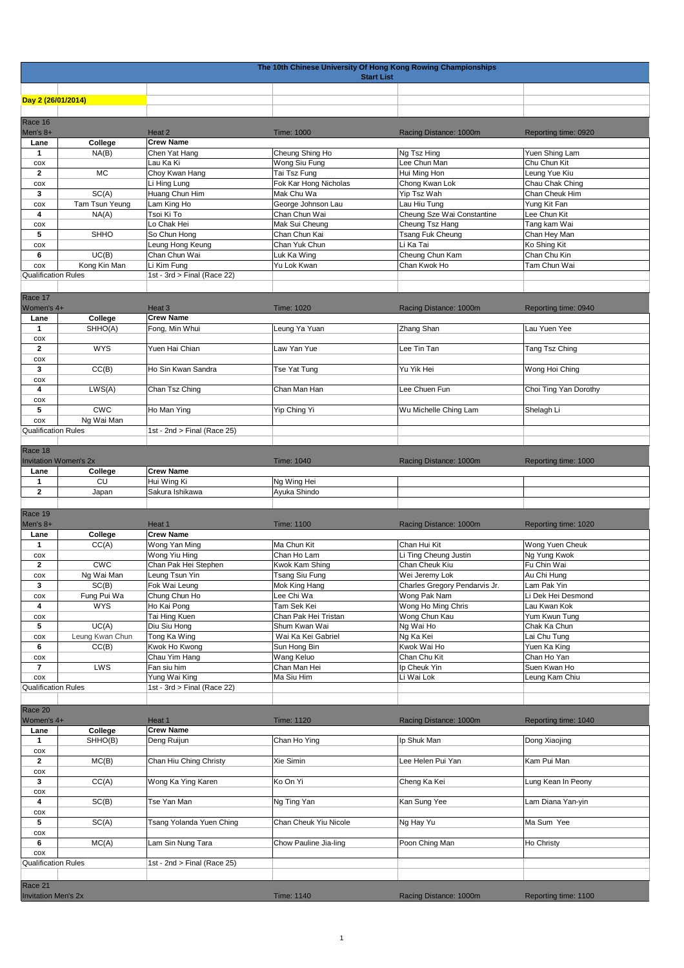|                                       | The 10th Chinese University Of Hong Kong Rowing Championships<br><b>Start List</b> |                             |                               |                               |                                |  |  |
|---------------------------------------|------------------------------------------------------------------------------------|-----------------------------|-------------------------------|-------------------------------|--------------------------------|--|--|
|                                       |                                                                                    |                             |                               |                               |                                |  |  |
| Day 2 (26/01/2014)                    |                                                                                    |                             |                               |                               |                                |  |  |
| Race 16                               |                                                                                    |                             |                               |                               |                                |  |  |
| Men's 8+                              |                                                                                    | Heat 2                      | Time: 1000                    | Racing Distance: 1000m        | Reporting time: 0920           |  |  |
| Lane                                  | College                                                                            | <b>Crew Name</b>            |                               |                               |                                |  |  |
| 1                                     | NA(B)                                                                              | Chen Yat Hang<br>Lau Ka Ki  | Cheung Shing Ho               | Ng Tsz Hing<br>Lee Chun Man   | Yuen Shing Lam<br>Chu Chun Kit |  |  |
| COX<br>$\overline{2}$                 | <b>MC</b>                                                                          | Choy Kwan Hang              | Wong Siu Fung<br>Tai Tsz Fung | Hui Ming Hon                  | Leung Yue Kiu                  |  |  |
| $\cos$                                |                                                                                    | Li Hing Lung                | Fok Kar Hong Nicholas         | Chong Kwan Lok                | Chau Chak Ching                |  |  |
| 3                                     | SC(A)                                                                              | Huang Chun Him              | Mak Chu Wa                    | Yip Tsz Wah                   | Chan Cheuk Him                 |  |  |
| COX                                   | Tam Tsun Yeung                                                                     | Lam King Ho                 | George Johnson Lau            | Lau Hiu Tung                  | Yung Kit Fan                   |  |  |
| 4                                     | NA(A)                                                                              | Tsoi Ki To                  | Chan Chun Wai                 | Cheung Sze Wai Constantine    | Lee Chun Kit                   |  |  |
| COX                                   |                                                                                    | Lo Chak Hei                 | Mak Sui Cheung                | Cheung Tsz Hang               | Tang kam Wai                   |  |  |
| 5                                     | <b>SHHO</b>                                                                        | So Chun Hong                | Chan Chun Kai                 | Tsang Fuk Cheung              | Chan Hey Man                   |  |  |
| COX                                   |                                                                                    | Leung Hong Keung            | Chan Yuk Chun                 | Li Ka Tai                     | Ko Shing Kit                   |  |  |
| 6                                     | UC(B)                                                                              | Chan Chun Wai               | Luk Ka Wing                   | Cheung Chun Kam               | Chan Chu Kin                   |  |  |
| $\cos$                                | Kong Kin Man                                                                       | Li Kim Fung                 | Yu Lok Kwan                   | Chan Kwok Ho                  | Tam Chun Wai                   |  |  |
| <b>Qualification Rules</b>            |                                                                                    | 1st - 3rd > Final (Race 22) |                               |                               |                                |  |  |
|                                       |                                                                                    |                             |                               |                               |                                |  |  |
| Race 17                               |                                                                                    |                             |                               |                               |                                |  |  |
| Women's 4+                            |                                                                                    | Heat 3                      | Time: 1020                    | Racing Distance: 1000m        | Reporting time: 0940           |  |  |
| Lane                                  | College                                                                            | <b>Crew Name</b>            |                               |                               |                                |  |  |
| $\mathbf{1}$                          | SHHO(A)                                                                            | Fong, Min Whui              | Leung Ya Yuan                 | Zhang Shan                    | Lau Yuen Yee                   |  |  |
| COX                                   |                                                                                    |                             |                               |                               |                                |  |  |
| $\mathbf{2}$                          | <b>WYS</b>                                                                         | Yuen Hai Chian              | Law Yan Yue                   | Lee Tin Tan                   | Tang Tsz Ching                 |  |  |
| COX                                   |                                                                                    |                             |                               |                               |                                |  |  |
| 3                                     | CC(B)                                                                              | Ho Sin Kwan Sandra          | Tse Yat Tung                  | Yu Yik Hei                    | Wong Hoi Ching                 |  |  |
| COX                                   |                                                                                    |                             |                               |                               |                                |  |  |
| 4                                     | LWS(A)                                                                             | Chan Tsz Ching              | Chan Man Han                  | Lee Chuen Fun                 | Choi Ting Yan Dorothy          |  |  |
| COX                                   |                                                                                    |                             |                               |                               |                                |  |  |
| 5                                     | <b>CWC</b>                                                                         | Ho Man Ying                 | Yip Ching Yi                  | Wu Michelle Ching Lam         | Shelagh Li                     |  |  |
| COX<br><b>Qualification Rules</b>     | Ng Wai Man                                                                         |                             |                               |                               |                                |  |  |
|                                       |                                                                                    | 1st - 2nd > Final (Race 25) |                               |                               |                                |  |  |
| Race 18                               |                                                                                    |                             |                               |                               |                                |  |  |
|                                       | <b>Invitation Women's 2x</b>                                                       |                             | Time: 1040                    | Racing Distance: 1000m        | Reporting time: 1000           |  |  |
| Lane                                  | College                                                                            | <b>Crew Name</b>            |                               |                               |                                |  |  |
| 1                                     | <b>CU</b>                                                                          | Hui Wing Ki                 | Ng Wing Hei                   |                               |                                |  |  |
| 2                                     | Japan                                                                              | Sakura Ishikawa             | Ayuka Shindo                  |                               |                                |  |  |
|                                       |                                                                                    |                             |                               |                               |                                |  |  |
| Race 19                               |                                                                                    |                             |                               |                               |                                |  |  |
| Men's 8+                              |                                                                                    | Heat 1                      | Time: 1100                    | Racing Distance: 1000m        | Reporting time: 1020           |  |  |
| Lane                                  | College                                                                            | <b>Crew Name</b>            |                               |                               |                                |  |  |
| $\mathbf{1}$                          | CC(A)                                                                              | Wong Yan Ming               | Ma Chun Kit                   | Chan Hui Kit                  | Wong Yuen Cheuk                |  |  |
| COX                                   |                                                                                    | Wong Yiu Hing               | Chan Ho Lam                   | Li Ting Cheung Justin         | Ng Yung Kwok                   |  |  |
| $\overline{2}$                        | <b>CWC</b>                                                                         | Chan Pak Hei Stephen        |                               |                               |                                |  |  |
| cox                                   |                                                                                    |                             | Kwok Kam Shing                | Chan Cheuk Kiu                | Fu Chin Wai                    |  |  |
| 3                                     | Ng Wai Man                                                                         | Leuna Tsun Yin              | <b>Tsang Siu Fung</b>         | Wei Jeremy Lok                | Au Chi Hung                    |  |  |
|                                       | SC(B)                                                                              | Fok Wai Leung               | Mok King Hang                 | Charles Gregory Pendarvis Jr. | Lam Pak Yin                    |  |  |
| COX                                   | Fung Pui Wa                                                                        | Chung Chun Ho               | Lee Chi Wa                    | Wong Pak Nam                  | Li Dek Hei Desmond             |  |  |
| 4                                     | <b>WYS</b>                                                                         | Ho Kai Pong                 | Tam Sek Kei                   | Wong Ho Ming Chris            | Lau Kwan Kok                   |  |  |
| $\cos$                                |                                                                                    | Tai Hing Kuen               | Chan Pak Hei Tristan          | Wong Chun Kau                 | Yum Kwun Tung                  |  |  |
| 5                                     | UC(A)                                                                              | Diu Siu Hong                | Shum Kwan Wai                 | Ng Wai Ho                     | Chak Ka Chun                   |  |  |
| $\cos$                                | Leung Kwan Chun                                                                    | Tong Ka Wing                | Wai Ka Kei Gabriel            | Ng Ka Kei                     | Lai Chu Tung                   |  |  |
| 6                                     | CC(B)                                                                              | Kwok Ho Kwong               | Sun Hong Bin                  | Kwok Wai Ho                   | Yuen Ka King                   |  |  |
| $\cos$                                |                                                                                    | Chau Yim Hang               | Wang Keluo                    | Chan Chu Kit                  | Chan Ho Yan                    |  |  |
| $\overline{ }$                        | LWS                                                                                | Fan siu him                 | Chan Man Hei                  | Ip Cheuk Yin                  | Suen Kwan Ho                   |  |  |
| COX                                   |                                                                                    | Yung Wai King               | Ma Siu Him                    | Li Wai Lok                    | Leung Kam Chiu                 |  |  |
| <b>Qualification Rules</b>            |                                                                                    | 1st - 3rd > Final (Race 22) |                               |                               |                                |  |  |
|                                       |                                                                                    |                             |                               |                               |                                |  |  |
| Race 20                               |                                                                                    |                             |                               |                               |                                |  |  |
| Women's 4+                            |                                                                                    | Heat 1                      | Time: 1120                    | Racing Distance: 1000m        | Reporting time: 1040           |  |  |
| Lane                                  | College                                                                            | <b>Crew Name</b>            |                               |                               |                                |  |  |
| $\mathbf{1}$                          | SHHO(B)                                                                            | Deng Ruijun                 | Chan Ho Ying                  | Ip Shuk Man                   | Dong Xiaojing                  |  |  |
| $\cos$                                |                                                                                    |                             |                               |                               |                                |  |  |
| $\mathbf{2}$                          | MC(B)                                                                              | Chan Hiu Ching Christy      | Xie Simin                     | Lee Helen Pui Yan             | Kam Pui Man                    |  |  |
| $\cos$                                |                                                                                    |                             |                               |                               |                                |  |  |
| 3                                     | CC(A)                                                                              | Wong Ka Ying Karen          | Ko On Yi                      | Cheng Ka Kei                  | Lung Kean In Peony             |  |  |
| $\cos$                                |                                                                                    |                             |                               |                               |                                |  |  |
| 4                                     | SC(B)                                                                              | Tse Yan Man                 | Ng Ting Yan                   | Kan Sung Yee                  | Lam Diana Yan-yin              |  |  |
| COX                                   |                                                                                    |                             |                               |                               |                                |  |  |
| 5                                     | SC(A)                                                                              | Tsang Yolanda Yuen Ching    | Chan Cheuk Yiu Nicole         | Ng Hay Yu                     | Ma Sum Yee                     |  |  |
| COX                                   |                                                                                    |                             |                               |                               |                                |  |  |
| 6                                     | MC(A)                                                                              | Lam Sin Nung Tara           | Chow Pauline Jia-ling         | Poon Ching Man                | Ho Christy                     |  |  |
| COX                                   |                                                                                    |                             |                               |                               |                                |  |  |
| <b>Qualification Rules</b>            |                                                                                    | 1st - 2nd > Final (Race 25) |                               |                               |                                |  |  |
|                                       |                                                                                    |                             |                               |                               |                                |  |  |
| Race 21<br><b>Invitation Men's 2x</b> |                                                                                    |                             | Time: 1140                    | Racing Distance: 1000m        | Reporting time: 1100           |  |  |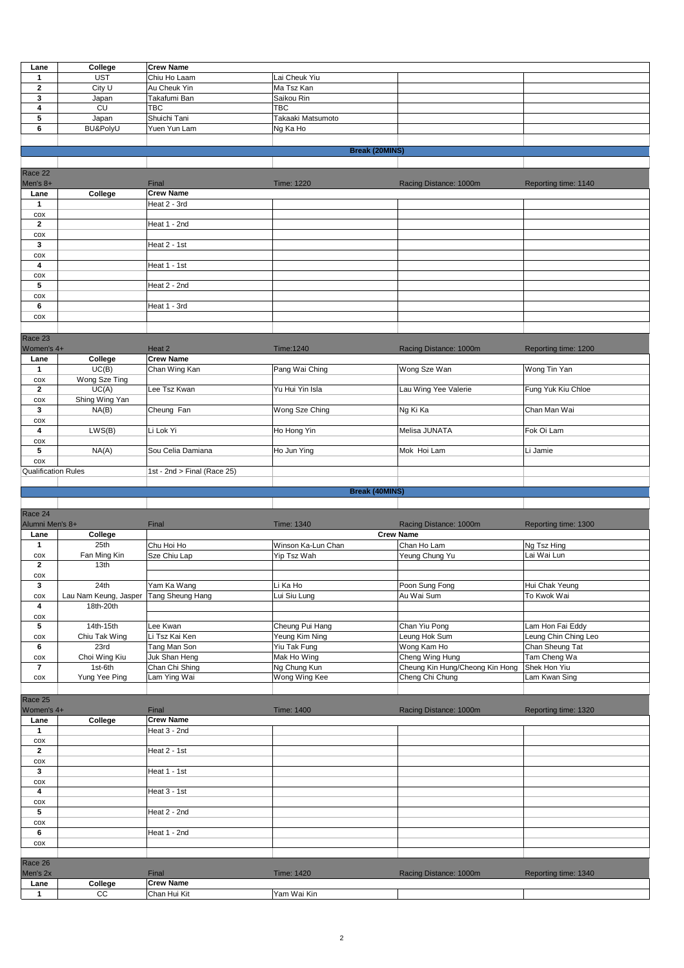| Lane                       | College                    | <b>Crew Name</b>                 |                       |                                 |                      |  |  |
|----------------------------|----------------------------|----------------------------------|-----------------------|---------------------------------|----------------------|--|--|
| $\mathbf{1}$               | <b>UST</b>                 | Chiu Ho Laam                     | Lai Cheuk Yiu         |                                 |                      |  |  |
| $\mathbf 2$                | City U                     | Au Cheuk Yin                     | Ma Tsz Kan            |                                 |                      |  |  |
| 3                          | Japan                      | Takafumi Ban                     | Saikou Rin            |                                 |                      |  |  |
| 4                          | <b>CU</b>                  | <b>TBC</b>                       | TBC                   |                                 |                      |  |  |
| 5                          | Japan                      | Shuichi Tani                     | Takaaki Matsumoto     |                                 |                      |  |  |
| 6                          | BU&PolyU                   | Yuen Yun Lam                     | Ng Ka Ho              |                                 |                      |  |  |
|                            |                            |                                  |                       |                                 |                      |  |  |
|                            |                            |                                  | <b>Break (20MINS)</b> |                                 |                      |  |  |
|                            |                            |                                  |                       |                                 |                      |  |  |
| Race 22                    |                            |                                  |                       |                                 |                      |  |  |
| Men's 8+                   |                            | Final                            | Time: 1220            | Racing Distance: 1000m          | Reporting time: 1140 |  |  |
| Lane                       | College                    | <b>Crew Name</b>                 |                       |                                 |                      |  |  |
| $\mathbf{1}$               |                            | Heat 2 - 3rd                     |                       |                                 |                      |  |  |
| $\cos$                     |                            |                                  |                       |                                 |                      |  |  |
| $\mathbf{2}$               |                            | Heat 1 - 2nd                     |                       |                                 |                      |  |  |
| COX<br>$\mathbf{3}$        |                            | Heat 2 - 1st                     |                       |                                 |                      |  |  |
| COX                        |                            |                                  |                       |                                 |                      |  |  |
| $\overline{\mathbf{4}}$    |                            | Heat 1 - 1st                     |                       |                                 |                      |  |  |
| COX                        |                            |                                  |                       |                                 |                      |  |  |
| 5                          |                            | Heat 2 - 2nd                     |                       |                                 |                      |  |  |
| COX                        |                            |                                  |                       |                                 |                      |  |  |
| 6                          |                            | Heat 1 - 3rd                     |                       |                                 |                      |  |  |
| COX                        |                            |                                  |                       |                                 |                      |  |  |
|                            |                            |                                  |                       |                                 |                      |  |  |
| Race 23                    |                            |                                  |                       |                                 |                      |  |  |
| Women's 4+                 |                            | Heat 2                           | Time:1240             | Racing Distance: 1000m          | Reporting time: 1200 |  |  |
| Lane                       | College                    | <b>Crew Name</b>                 |                       |                                 |                      |  |  |
| $\mathbf{1}$               | UC(B)                      | Chan Wing Kan                    | Pang Wai Ching        | Wong Sze Wan                    | Wong Tin Yan         |  |  |
| COX                        | Wong Sze Ting              |                                  |                       |                                 |                      |  |  |
| $\mathbf{2}$               | UC(A)                      | Lee Tsz Kwan                     | Yu Hui Yin Isla       | Lau Wing Yee Valerie            | Fung Yuk Kiu Chloe   |  |  |
| COX<br>$\mathbf{3}$        | Shing Wing Yan<br>NA(B)    | Cheung Fan                       | Wong Sze Ching        | Ng Ki Ka                        | Chan Man Wai         |  |  |
| COX                        |                            |                                  |                       |                                 |                      |  |  |
| 4                          | LWS(B)                     | Li Lok Yi                        | Ho Hong Yin           | Melisa JUNATA                   | Fok Oi Lam           |  |  |
| COX                        |                            |                                  |                       |                                 |                      |  |  |
| 5                          | NA(A)                      | Sou Celia Damiana                | Ho Jun Ying           | Mok Hoi Lam                     | Li Jamie             |  |  |
| COX                        |                            |                                  |                       |                                 |                      |  |  |
| <b>Qualification Rules</b> |                            | 1st - 2nd > Final (Race 25)      |                       |                                 |                      |  |  |
|                            |                            |                                  |                       |                                 |                      |  |  |
|                            |                            |                                  |                       |                                 |                      |  |  |
|                            |                            |                                  | <b>Break (40MINS)</b> |                                 |                      |  |  |
|                            |                            |                                  |                       |                                 |                      |  |  |
| Race 24                    |                            |                                  |                       |                                 |                      |  |  |
| Alumni Men's 8+            |                            | Final                            | <b>Time: 1340</b>     | Racing Distance: 1000m          | Reporting time: 1300 |  |  |
| Lane                       | College                    |                                  |                       | <b>Crew Name</b>                |                      |  |  |
| $\mathbf{1}$               | 25th                       | Chu Hoi Ho                       | Winson Ka-Lun Chan    | Chan Ho Lam                     | Ng Tsz Hing          |  |  |
| COX                        | Fan Ming Kin               | Sze Chiu Lap                     | Yip Tsz Wah           | Yeung Chung Yu                  | Lai Wai Lun          |  |  |
| $\mathbf{2}$               | 13th                       |                                  |                       |                                 |                      |  |  |
| COX<br>3                   | 24th                       | Yam Ka Wang                      | Li Ka Ho              | Poon Sung Fong                  | Hui Chak Yeung       |  |  |
| $\cos$                     | Lau Nam Keung, Jasper      | Tang Sheung Hang                 | Lui Siu Lung          | Au Wai Sum                      | To Kwok Wai          |  |  |
| 4                          | 18th-20th                  |                                  |                       |                                 |                      |  |  |
| $\cos$                     |                            |                                  |                       |                                 |                      |  |  |
| $\sqrt{5}$                 | 14th-15th                  | Lee Kwan                         | Cheung Pui Hang       | Chan Yiu Pong                   | Lam Hon Fai Eddy     |  |  |
| $\cos$                     | Chiu Tak Wing              | Li Tsz Kai Ken                   | Yeung Kim Ning        | Leung Hok Sum                   | Leung Chin Ching Leo |  |  |
| 6                          | 23rd                       | Tang Man Son                     | Yiu Tak Fung          | Wong Kam Ho                     | Chan Sheung Tat      |  |  |
| $\cos$                     | Choi Wing Kiu              | Juk Shan Heng                    | Mak Ho Wing           | Cheng Wing Hung                 | Tam Cheng Wa         |  |  |
| $\overline{7}$             | 1st-6th                    | Chan Chi Shing                   | Ng Chung Kun          | Cheung Kin Hung/Cheong Kin Hong | Shek Hon Yiu         |  |  |
| $\cos$                     | Yung Yee Ping              | Lam Ying Wai                     | Wong Wing Kee         | Cheng Chi Chung                 | Lam Kwan Sing        |  |  |
|                            |                            |                                  |                       |                                 |                      |  |  |
| Race 25                    |                            |                                  |                       |                                 |                      |  |  |
| Women's 4+                 |                            | Final                            | <b>Time: 1400</b>     | Racing Distance: 1000m          | Reporting time: 1320 |  |  |
| Lane<br>$\mathbf{1}$       | College                    | <b>Crew Name</b>                 |                       |                                 |                      |  |  |
| $\cos$                     |                            | Heat 3 - 2nd                     |                       |                                 |                      |  |  |
| $\mathbf{2}$               |                            | Heat 2 - 1st                     |                       |                                 |                      |  |  |
| $\cos$                     |                            |                                  |                       |                                 |                      |  |  |
| $\mathbf{3}$               |                            | Heat 1 - 1st                     |                       |                                 |                      |  |  |
| $\cos$                     |                            |                                  |                       |                                 |                      |  |  |
| $\overline{\mathbf{4}}$    |                            | Heat 3 - 1st                     |                       |                                 |                      |  |  |
| COX                        |                            |                                  |                       |                                 |                      |  |  |
| $\overline{\mathbf{5}}$    |                            | Heat 2 - 2nd                     |                       |                                 |                      |  |  |
| $\cos$                     |                            |                                  |                       |                                 |                      |  |  |
| 6                          |                            | Heat 1 - 2nd                     |                       |                                 |                      |  |  |
| $\cos$                     |                            |                                  |                       |                                 |                      |  |  |
| Race 26                    |                            |                                  |                       |                                 |                      |  |  |
| Men's 2x                   |                            | Final                            | <b>Time: 1420</b>     | Racing Distance: 1000m          | Reporting time: 1340 |  |  |
| Lane<br>$\mathbf{1}$       | College<br>$\overline{cc}$ | <b>Crew Name</b><br>Chan Hui Kit | Yam Wai Kin           |                                 |                      |  |  |